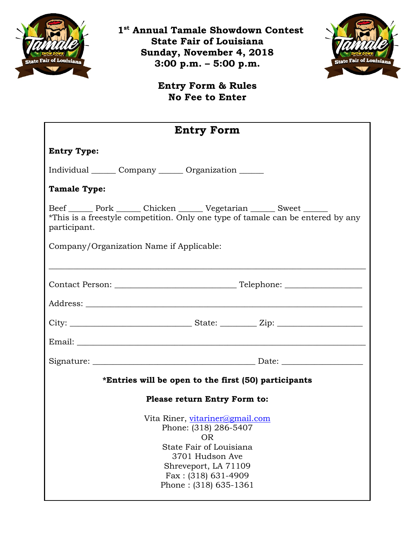

 **1st Annual Tamale Showdown Contest State Fair of Louisiana Sunday, November 4, 2018 3:00 p.m. – 5:00 p.m.**



**Entry Form & Rules No Fee to Enter**

| <b>Entry Form</b>                                                                                                                                                                             |  |  |
|-----------------------------------------------------------------------------------------------------------------------------------------------------------------------------------------------|--|--|
| <b>Entry Type:</b>                                                                                                                                                                            |  |  |
| Individual Company Corganization                                                                                                                                                              |  |  |
| <b>Tamale Type:</b>                                                                                                                                                                           |  |  |
| Beef Pork Chicken Vegetarian Sweet<br>*This is a freestyle competition. Only one type of tamale can be entered by any<br>participant.                                                         |  |  |
| Company/Organization Name if Applicable:                                                                                                                                                      |  |  |
|                                                                                                                                                                                               |  |  |
|                                                                                                                                                                                               |  |  |
|                                                                                                                                                                                               |  |  |
|                                                                                                                                                                                               |  |  |
|                                                                                                                                                                                               |  |  |
|                                                                                                                                                                                               |  |  |
| *Entries will be open to the first (50) participants                                                                                                                                          |  |  |
| Please return Entry Form to:                                                                                                                                                                  |  |  |
| Vita Riner, vitariner@gmail.com<br>Phone: (318) 286-5407<br><b>OR</b><br>State Fair of Louisiana<br>3701 Hudson Ave<br>Shreveport, LA 71109<br>$Fax: (318) 631-4909$<br>Phone: (318) 635-1361 |  |  |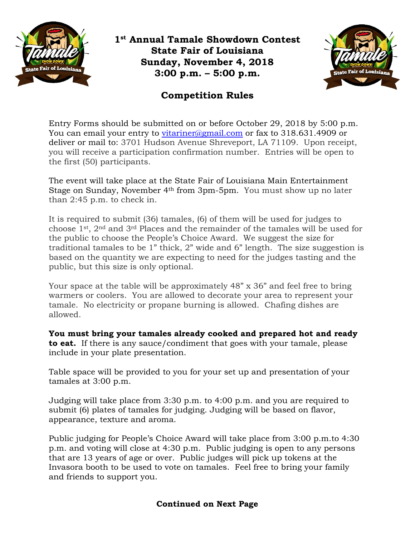

**1st Annual Tamale Showdown Contest State Fair of Louisiana Sunday, November 4, 2018 3:00 p.m. – 5:00 p.m.**



## **Competition Rules**

Entry Forms should be submitted on or before October 29, 2018 by 5:00 p.m. You can email your entry to [vitariner@gmail.com](mailto:vitariner@gmail.com) or fax to 318.631.4909 or deliver or mail to: 3701 Hudson Avenue Shreveport, LA 71109. Upon receipt, you will receive a participation confirmation number. Entries will be open to the first (50) participants.

The event will take place at the State Fair of Louisiana Main Entertainment Stage on Sunday, November 4th from 3pm-5pm. You must show up no later than 2:45 p.m. to check in.

It is required to submit (36) tamales, (6) of them will be used for judges to choose 1st, 2nd and 3rd Places and the remainder of the tamales will be used for the public to choose the People's Choice Award. We suggest the size for traditional tamales to be 1" thick, 2" wide and 6" length. The size suggestion is based on the quantity we are expecting to need for the judges tasting and the public, but this size is only optional.

Your space at the table will be approximately 48" x 36" and feel free to bring warmers or coolers. You are allowed to decorate your area to represent your tamale. No electricity or propane burning is allowed. Chafing dishes are allowed.

**You must bring your tamales already cooked and prepared hot and ready to eat.** If there is any sauce/condiment that goes with your tamale, please include in your plate presentation.

Table space will be provided to you for your set up and presentation of your tamales at 3:00 p.m.

Judging will take place from 3:30 p.m. to 4:00 p.m. and you are required to submit (6) plates of tamales for judging. Judging will be based on flavor, appearance, texture and aroma.

Public judging for People's Choice Award will take place from 3:00 p.m.to 4:30 p.m. and voting will close at 4:30 p.m. Public judging is open to any persons that are 13 years of age or over. Public judges will pick up tokens at the Invasora booth to be used to vote on tamales. Feel free to bring your family and friends to support you.

## **Continued on Next Page**